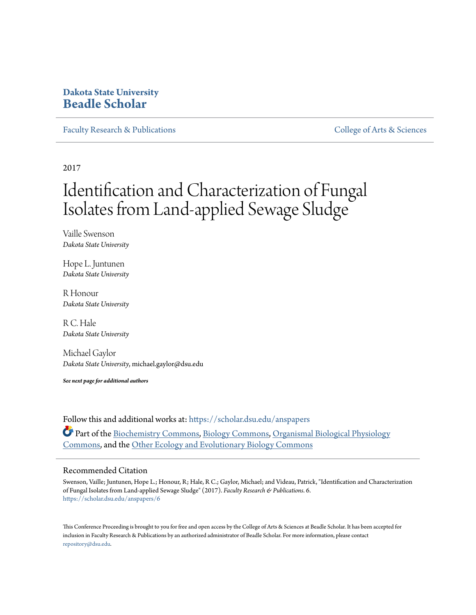## **Dakota State University [Beadle Scholar](https://scholar.dsu.edu?utm_source=scholar.dsu.edu%2Fanspapers%2F6&utm_medium=PDF&utm_campaign=PDFCoverPages)**

[Faculty Research & Publications](https://scholar.dsu.edu/anspapers?utm_source=scholar.dsu.edu%2Fanspapers%2F6&utm_medium=PDF&utm_campaign=PDFCoverPages) [College of Arts & Sciences](https://scholar.dsu.edu/artsandsciences?utm_source=scholar.dsu.edu%2Fanspapers%2F6&utm_medium=PDF&utm_campaign=PDFCoverPages)

2017

# Identification and Characterization of Fungal Isolates from Land-applied Sewage Sludge

Vaille Swenson *Dakota State University*

Hope L. Juntunen *Dakota State University*

R Honour *Dakota State University*

R C. Hale *Dakota State University*

Michael Gaylor *Dakota State University*, michael.gaylor@dsu.edu

*See next page for additional authors*

Follow this and additional works at: [https://scholar.dsu.edu/anspapers](https://scholar.dsu.edu/anspapers?utm_source=scholar.dsu.edu%2Fanspapers%2F6&utm_medium=PDF&utm_campaign=PDFCoverPages) Part of the [Biochemistry Commons](http://network.bepress.com/hgg/discipline/2?utm_source=scholar.dsu.edu%2Fanspapers%2F6&utm_medium=PDF&utm_campaign=PDFCoverPages), [Biology Commons](http://network.bepress.com/hgg/discipline/41?utm_source=scholar.dsu.edu%2Fanspapers%2F6&utm_medium=PDF&utm_campaign=PDFCoverPages), [Organismal Biological Physiology](http://network.bepress.com/hgg/discipline/1061?utm_source=scholar.dsu.edu%2Fanspapers%2F6&utm_medium=PDF&utm_campaign=PDFCoverPages) [Commons,](http://network.bepress.com/hgg/discipline/1061?utm_source=scholar.dsu.edu%2Fanspapers%2F6&utm_medium=PDF&utm_campaign=PDFCoverPages) and the [Other Ecology and Evolutionary Biology Commons](http://network.bepress.com/hgg/discipline/21?utm_source=scholar.dsu.edu%2Fanspapers%2F6&utm_medium=PDF&utm_campaign=PDFCoverPages)

### Recommended Citation

Swenson, Vaille; Juntunen, Hope L.; Honour, R; Hale, R C.; Gaylor, Michael; and Videau, Patrick, "Identification and Characterization of Fungal Isolates from Land-applied Sewage Sludge" (2017). *Faculty Research & Publications*. 6. [https://scholar.dsu.edu/anspapers/6](https://scholar.dsu.edu/anspapers/6?utm_source=scholar.dsu.edu%2Fanspapers%2F6&utm_medium=PDF&utm_campaign=PDFCoverPages)

This Conference Proceeding is brought to you for free and open access by the College of Arts & Sciences at Beadle Scholar. It has been accepted for inclusion in Faculty Research & Publications by an authorized administrator of Beadle Scholar. For more information, please contact [repository@dsu.edu.](mailto:repository@dsu.edu)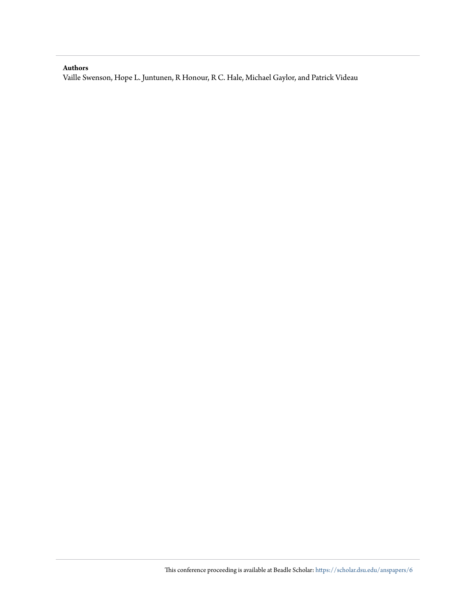### **Authors**

Vaille Swenson, Hope L. Juntunen, R Honour, R C. Hale, Michael Gaylor, and Patrick Videau